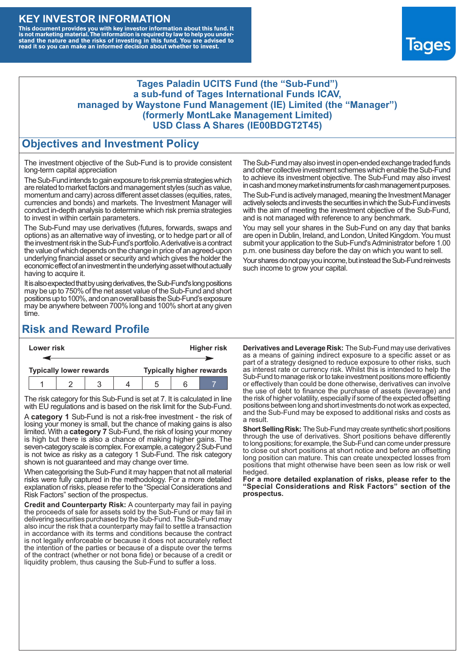## **KEY INVESTOR INFORMATION**

This document provides you with key investor information about this fund. It<br>is not marketing material. The information is required by law to help you under-<br>stand the nature and the risks of investing in this fund. You ar



#### **Tages Paladin UCITS Fund (the "Sub-Fund") a sub-fund of Tages International Funds ICAV, managed by Waystone Fund Management (IE) Limited (the "Manager") (formerly MontLake Management Limited) USD Class A Shares (IE00BDGT2T45)**

### **Objectives and Investment Policy**

The investment objective of the Sub-Fund is to provide consistent long-term capital appreciation

The Sub-Fund intends to gain exposure to risk premia strategies which are related to market factors and management styles (such as value, momentum and carry) across different asset classes (equities, rates, currencies and bonds) and markets. The Investment Manager will conduct in-depth analysis to determine which risk premia strategies to invest in within certain parameters.

The Sub-Fund may use derivatives (futures, forwards, swaps and options) as an alternative way of investing, or to hedge part or all of the investment risk intheSub-Fund's portfolio.Aderivative is a contract the value of which depends on the change in price of an agreed-upon underlying financial asset or security and which gives the holder the economic effect of an investment in the underlying asset without actually having to acquire it.

It is also expected that by using derivatives, the Sub-Fund's long positions may be up to 750% of the net asset value of the Sub-Fund and short positions up to 100%, and on an overall basis the Sub-Fund's exposure may be anywhere between 700% long and 100% short at any given time.

The Sub-Fund may also invest in open-ended exchange traded funds and other collective investment schemes which enable the Sub-Fund to achieve its investment objective. The Sub-Fund may also invest in cash and money market instruments for cash management purposes.

The Sub-Fund is actively managed, meaning the Investment Manager actively selects and invests the securities in which the Sub-Fund invests with the aim of meeting the investment objective of the Sub-Fund, and is not managed with reference to any benchmark.

You may sell your shares in the Sub-Fund on any day that banks are open in Dublin, Ireland, and London, United Kingdom. You must submit your application to the Sub-Fund's Administrator before 1.00 p.m. one business day before the day on which you want to sell.

Your shares do not pay you income, but instead the Sub-Fund reinvests such income to grow your capital.

# **Risk and Reward Profile**

| Lower risk |                                |  |  |  | <b>Higher risk</b>              |     |  |  |
|------------|--------------------------------|--|--|--|---------------------------------|-----|--|--|
|            |                                |  |  |  |                                 |     |  |  |
|            | <b>Typically lower rewards</b> |  |  |  | <b>Typically higher rewards</b> |     |  |  |
|            |                                |  |  |  |                                 | ี่ค |  |  |

The risk category for this Sub-Fund is set at 7. It is calculated in line with EU regulations and is based on the risk limit for the Sub-Fund.

A **category 1** Sub-Fund is not a risk-free investment - the risk of losing your money is small, but the chance of making gains is also limited. With a **category 7** Sub-Fund, the risk of losing your money is high but there is also a chance of making higher gains. The seven-category scale is complex. For example, a category 2 Sub-Fund is not twice as risky as a category 1 Sub-Fund. The risk category shown is not guaranteed and may change over time.

When categorising the Sub-Fund it may happen that not all material risks were fully captured in the methodology. For a more detailed explanation of risks, please refer to the "Special Considerations and Risk Factors" section of the prospectus.

**Credit and Counterparty Risk:** A counterparty may fail in paying the proceeds of sale for assets sold by the Sub-Fund or may fail in delivering securities purchased by the Sub-Fund. The Sub-Fund may also incur the risk that a counterparty may fail to settle a transaction in accordance with its terms and conditions because the contract is not legally enforceable or because it does not accurately reflect the intention of the parties or because of a dispute over the terms of the contract (whether or not bona fide) or because of a credit or liquidity problem, thus causing the Sub-Fund to suffer a loss.

**Derivatives and Leverage Risk:** The Sub-Fund may use derivatives as a means of gaining indirect exposure to a specific asset or as part of a strategy designed to reduce exposure to other risks, such as interest rate or currency risk. Whilst this is intended to help the Sub-Fund to manage risk or to take investment positions more efficiently or effectively than could be done otherwise, derivatives can involve the use of debt to finance the purchase of assets (leverage) and the risk of higher volatility, especially if some of the expected offsetting positions between long and short investments do not work as expected, and the Sub-Fund may be exposed to additional risks and costs as a result.

**Short Selling Risk:** The Sub-Fund may create synthetic short positions through the use of derivatives. Short positions behave differently to long positions; for example, the Sub-Fund can come under pressure to close out short positions at short notice and before an offsetting long position can mature. This can create unexpected losses from positions that might otherwise have been seen as low risk or well hedged.

**For a more detailed explanation of risks, please refer to the "Special Considerations and Risk Factors" section of the prospectus.**